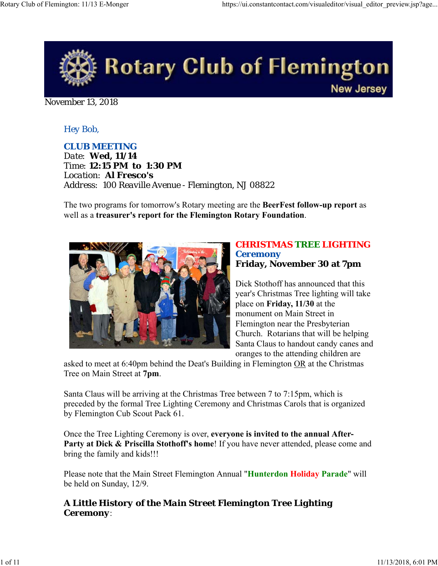

November 13, 2018

## *Hey Bob,*

*CLUB MEETING*

*Date: Wed, 11/14 Time: 12:15 PM to 1:30 PM Location: Al Fresco's Address: 100 Reaville Avenue - Flemington, NJ 08822*

The two programs for tomorrow's Rotary meeting are the **BeerFest follow-up report** as well as a **treasurer's report for the Flemington Rotary Foundation**.



### *CHRISTMAS TREE LIGHTING Ceremony* **Friday, November 30 at 7pm**

Dick Stothoff has announced that this year's Christmas Tree lighting will take place on **Friday, 11/30** at the monument on Main Street in Flemington near the Presbyterian Church. Rotarians that will be helping Santa Claus to handout candy canes and oranges to the attending children are

asked to meet at 6:40pm behind the Deat's Building in Flemington OR at the Christmas Tree on Main Street at **7pm**.

Santa Claus will be arriving at the Christmas Tree between 7 to 7:15pm, which is preceded by the formal Tree Lighting Ceremony and Christmas Carols that is organized by Flemington Cub Scout Pack 61.

Once the Tree Lighting Ceremony is over, **everyone is invited to the annual After-**Party at Dick & Priscilla Stothoff's home! If you have never attended, please come and bring the family and kids!!!

Please note that the Main Street Flemington Annual "**Hunterdon Holiday Parade**" will be held on Sunday, 12/9.

## *A Little History of the Main Street Flemington Tree Lighting Ceremony*: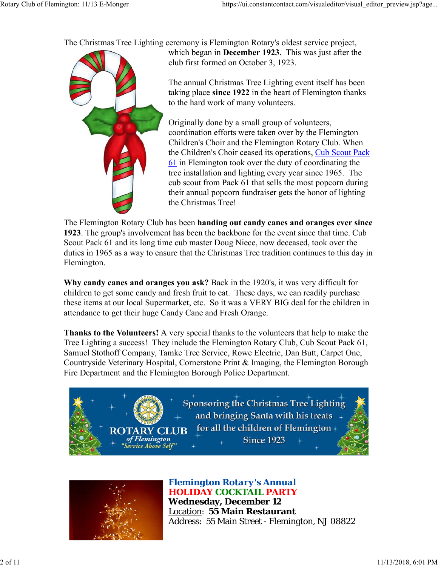The Christmas Tree Lighting ceremony is Flemington Rotary's oldest service project,



which began in **December 1923**. This was just after the club first formed on October 3, 1923.

The annual Christmas Tree Lighting event itself has been taking place **since 1922** in the heart of Flemington thanks to the hard work of many volunteers.

Originally done by a small group of volunteers, coordination efforts were taken over by the Flemington Children's Choir and the Flemington Rotary Club. When the Children's Choir ceased its operations, Cub Scout Pack 61 in Flemington took over the duty of coordinating the tree installation and lighting every year since 1965. The cub scout from Pack 61 that sells the most popcorn during their annual popcorn fundraiser gets the honor of lighting the Christmas Tree!

The Flemington Rotary Club has been **handing out candy canes and oranges ever since 1923**. The group's involvement has been the backbone for the event since that time. Cub Scout Pack 61 and its long time cub master Doug Niece, now deceased, took over the duties in 1965 as a way to ensure that the Christmas Tree tradition continues to this day in Flemington.

**Why candy canes and oranges you ask?** Back in the 1920's, it was very difficult for children to get some candy and fresh fruit to eat. These days, we can readily purchase these items at our local Supermarket, etc. So it was a VERY BIG deal for the children in attendance to get their huge Candy Cane and Fresh Orange.

**Thanks to the Volunteers!** A very special thanks to the volunteers that help to make the Tree Lighting a success! They include the Flemington Rotary Club, Cub Scout Pack 61, Samuel Stothoff Company, Tamke Tree Service, Rowe Electric, Dan Butt, Carpet One, Countryside Veterinary Hospital, Cornerstone Print & Imaging, the Flemington Borough Fire Department and the Flemington Borough Police Department.





## *Flemington Rotary's Annual HOLIDAY COCKTAIL PARTY*

**Wednesday, December 12** Location: **55 Main Restaurant** Address: 55 Main Street - Flemington, NJ 08822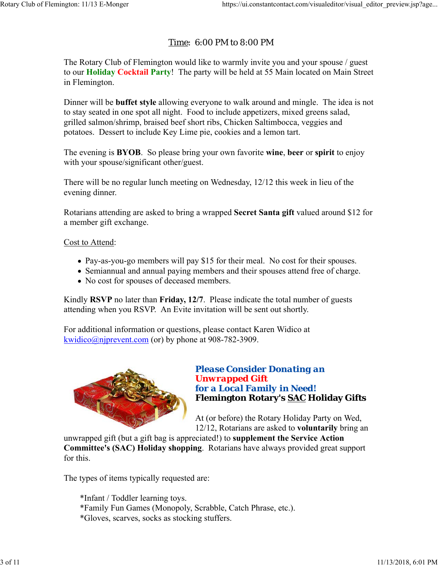## Time: 6:00 PM to 8:00 PM

The Rotary Club of Flemington would like to warmly invite you and your spouse / guest to our **Holiday Cocktail Party**! The party will be held at 55 Main located on Main Street in Flemington.

Dinner will be **buffet style** allowing everyone to walk around and mingle. The idea is not to stay seated in one spot all night. Food to include appetizers, mixed greens salad, grilled salmon/shrimp, braised beef short ribs, Chicken Saltimbocca, veggies and potatoes. Dessert to include Key Lime pie, cookies and a lemon tart.

The evening is **BYOB**. So please bring your own favorite **wine**, **beer** or **spirit** to enjoy with your spouse/significant other/guest.

There will be no regular lunch meeting on Wednesday, 12/12 this week in lieu of the evening dinner.

Rotarians attending are asked to bring a wrapped **Secret Santa gift** valued around \$12 for a member gift exchange.

Cost to Attend:

- Pay-as-you-go members will pay \$15 for their meal. No cost for their spouses.
- Semiannual and annual paying members and their spouses attend free of charge.
- No cost for spouses of deceased members.

Kindly **RSVP** no later than **Friday, 12/7**. Please indicate the total number of guests attending when you RSVP. An Evite invitation will be sent out shortly.

For additional information or questions, please contact Karen Widico at kwidico@njprevent.com (or) by phone at 908-782-3909.



## *Please Consider Donating an Unwrapped Gift for a Local Family in Need!* **Flemington Rotary's SAC Holiday Gifts**

At (or before) the Rotary Holiday Party on Wed, 12/12, Rotarians are asked to **voluntarily** bring an

unwrapped gift (but a gift bag is appreciated!) to **supplement the Service Action Committee's (SAC) Holiday shopping**. Rotarians have always provided great support for this.

The types of items typically requested are:

\*Infant / Toddler learning toys. \*Family Fun Games (Monopoly, Scrabble, Catch Phrase, etc.). \*Gloves, scarves, socks as stocking stuffers.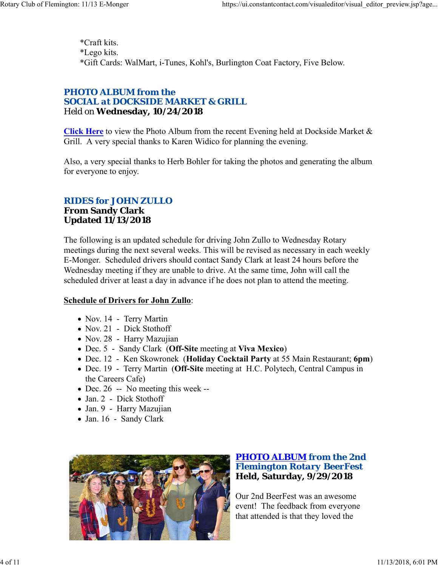\*Craft kits. \*Lego kits. \*Gift Cards: WalMart, i-Tunes, Kohl's, Burlington Coat Factory, Five Below.

### *PHOTO ALBUM from the SOCIAL at DOCKSIDE MARKET & GRILL* Held on **Wednesday, 10/24/2018**

**Click Here** to view the Photo Album from the recent Evening held at Dockside Market & Grill. A very special thanks to Karen Widico for planning the evening.

Also, a very special thanks to Herb Bohler for taking the photos and generating the album for everyone to enjoy.

## *RIDES for JOHN ZULLO*

### **From Sandy Clark Updated 11/13/2018**

The following is an updated schedule for driving John Zullo to Wednesday Rotary meetings during the next several weeks. This will be revised as necessary in each weekly E-Monger. Scheduled drivers should contact Sandy Clark at least 24 hours before the Wednesday meeting if they are unable to drive. At the same time, John will call the scheduled driver at least a day in advance if he does not plan to attend the meeting.

### **Schedule of Drivers for John Zullo**:

- Nov. 14 Terry Martin
- Nov. 21 Dick Stothoff
- Nov. 28 Harry Mazujian
- Dec. 5 Sandy Clark (**Off-Site** meeting at **Viva Mexico**)
- Dec. 12 Ken Skowronek (**Holiday Cocktail Party** at 55 Main Restaurant; **6pm**)
- Dec. 19 Terry Martin (**Off-Site** meeting at H.C. Polytech, Central Campus in the Careers Cafe)
- Dec. 26 -- No meeting this week --
- Jan. 2 Dick Stothoff
- Jan. 9 Harry Mazujian
- Jan. 16 Sandy Clark



## *PHOTO ALBUM from the 2nd Flemington Rotary BeerFest* **Held, Saturday, 9/29/2018**

Our 2nd BeerFest was an awesome event! The feedback from everyone that attended is that they loved the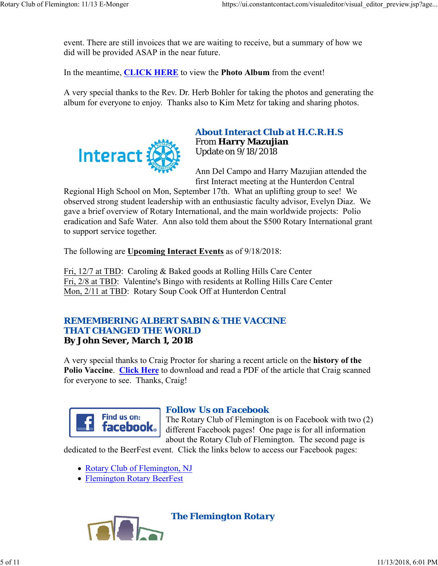event. There are still invoices that we are waiting to receive, but a summary of how we did will be provided ASAP in the near future.

In the meantime, **CLICK HERE** to view the **Photo Album** from the event!

A very special thanks to the Rev. Dr. Herb Bohler for taking the photos and generating the album for everyone to enjoy. Thanks also to Kim Metz for taking and sharing photos.



### *About Interact Club at H.C.R.H.S* From **Harry Mazujian** Update on 9/18/2018

Ann Del Campo and Harry Mazujian attended the first Interact meeting at the Hunterdon Central

Regional High School on Mon, September 17th. What an uplifting group to see! We observed strong student leadership with an enthusiastic faculty advisor, Evelyn Diaz. We gave a brief overview of Rotary International, and the main worldwide projects: Polio eradication and Safe Water. Ann also told them about the \$500 Rotary International grant to support service together.

The following are **Upcoming Interact Events** as of 9/18/2018:

Fri, 12/7 at TBD: Caroling & Baked goods at Rolling Hills Care Center Fri, 2/8 at TBD: Valentine's Bingo with residents at Rolling Hills Care Center Mon, 2/11 at TBD: Rotary Soup Cook Off at Hunterdon Central

### *REMEMBERING ALBERT SABIN & THE VACCINE THAT CHANGED THE WORLD* **By John Sever, March 1, 2018**

A very special thanks to Craig Proctor for sharing a recent article on the **history of the Polio Vaccine**. **Click Here** to download and read a PDF of the article that Craig scanned for everyone to see. Thanks, Craig!



## *Follow Us on Facebook*

The Rotary Club of Flemington is on Facebook with two (2) different Facebook pages! One page is for all information about the Rotary Club of Flemington. The second page is

dedicated to the BeerFest event. Click the links below to access our Facebook pages:

- Rotary Club of Flemington, NJ
- Flemington Rotary BeerFest

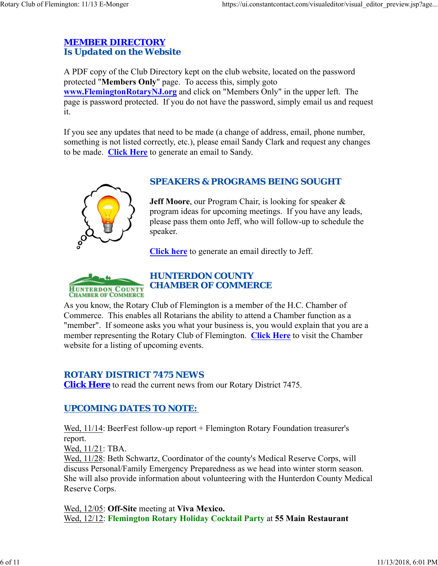## *MEMBER DIRECTORY Is Updated on the Website*

A PDF copy of the Club Directory kept on the club website, located on the password protected "**Members Only**" page. To access this, simply goto **www.FlemingtonRotaryNJ.org** and click on "Members Only" in the upper left. The page is password protected. If you do not have the password, simply email us and request it.

If you see any updates that need to be made (a change of address, email, phone number, something is not listed correctly, etc.), please email Sandy Clark and request any changes to be made. **Click Here** to generate an email to Sandy.



## *SPEAKERS & PROGRAMS BEING SOUGHT*

**Jeff Moore**, our Program Chair, is looking for speaker & program ideas for upcoming meetings. If you have any leads, please pass them onto Jeff, who will follow-up to schedule the speaker.

**Click here** to generate an email directly to Jeff.



## *HUNTERDON COUNTY CHAMBER OF COMMERCE*

As you know, the Rotary Club of Flemington is a member of the H.C. Chamber of Commerce. This enables all Rotarians the ability to attend a Chamber function as a "member". If someone asks you what your business is, you would explain that you are a member representing the Rotary Club of Flemington. **Click Here** to visit the Chamber website for a listing of upcoming events.

## *ROTARY DISTRICT 7475 NEWS*

**Click Here** to read the current news from our Rotary District 7475.

## *UPCOMING DATES TO NOTE:*

Wed, 11/14: BeerFest follow-up report + Flemington Rotary Foundation treasurer's report.

Wed, 11/21: TBA.

Wed, 11/28: Beth Schwartz, Coordinator of the county's Medical Reserve Corps, will discuss Personal/Family Emergency Preparedness as we head into winter storm season. She will also provide information about volunteering with the Hunterdon County Medical Reserve Corps.

Wed, 12/05: **Off-Site** meeting at **Viva Mexico.** Wed, 12/12: **Flemington Rotary Holiday Cocktail Party** at **55 Main Restaurant**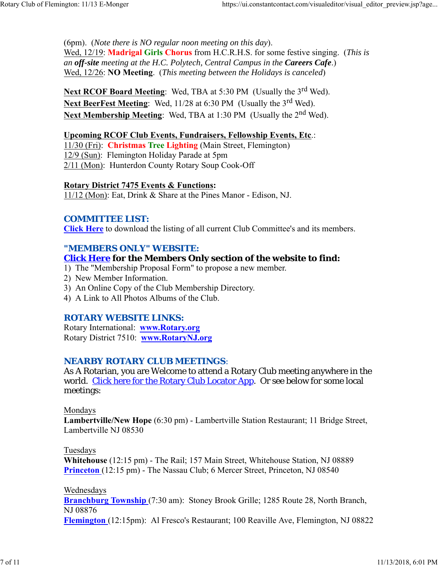(6pm). (*Note there is NO regular noon meeting on this day*). Wed, 12/19: **Madrigal Girls Chorus** from H.C.R.H.S. for some festive singing. (*This is an off-site meeting at the H.C. Polytech, Central Campus in the Careers Cafe*.) Wed, 12/26: **NO Meeting**. (*This meeting between the Holidays is canceled*)

**Next RCOF Board Meeting:** Wed, TBA at 5:30 PM (Usually the 3<sup>rd</sup> Wed). Next BeerFest Meeting: Wed, 11/28 at 6:30 PM (Usually the 3<sup>rd</sup> Wed). Next Membership Meeting: Wed, TBA at 1:30 PM (Usually the 2<sup>nd</sup> Wed).

#### **Upcoming RCOF Club Events, Fundraisers, Fellowship Events, Etc**.:

11/30 (Fri): **Christmas Tree Lighting** (Main Street, Flemington) 12/9 (Sun): Flemington Holiday Parade at 5pm 2/11 (Mon): Hunterdon County Rotary Soup Cook-Off

#### **Rotary District 7475 Events & Functions:**

11/12 (Mon): Eat, Drink & Share at the Pines Manor - Edison, NJ.

### *COMMITTEE LIST:*

**Click Here** to download the listing of all current Club Committee's and its members.

### *"MEMBERS ONLY" WEBSITE:*

### **Click Here for the Members Only section of the website to find:**

- 1) The "Membership Proposal Form" to propose a new member.
- 2) New Member Information.
- 3) An Online Copy of the Club Membership Directory.
- 4) A Link to All Photos Albums of the Club.

### *ROTARY WEBSITE LINKS:*

Rotary International: **www.Rotary.org** Rotary District 7510: **www.RotaryNJ.org**

### *NEARBY ROTARY CLUB MEETINGS:*

As A Rotarian, you are Welcome to attend a Rotary Club meeting anywhere in the world. Click here for the Rotary Club Locator App. Or see below for some local meetings:

#### Mondays

**Lambertville/New Hope** (6:30 pm) - Lambertville Station Restaurant; 11 Bridge Street, Lambertville NJ 08530

### Tuesdays

**Whitehouse** (12:15 pm) - The Rail; 157 Main Street, Whitehouse Station, NJ 08889 **Princeton** (12:15 pm) - The Nassau Club; 6 Mercer Street, Princeton, NJ 08540

#### Wednesdays

**Branchburg Township** (7:30 am): Stoney Brook Grille; 1285 Route 28, North Branch, NJ 08876

**Flemington** (12:15pm): Al Fresco's Restaurant; 100 Reaville Ave, Flemington, NJ 08822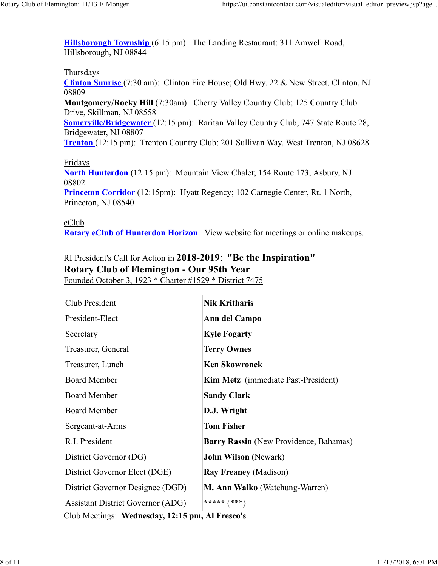**Hillsborough Township** (6:15 pm): The Landing Restaurant; 311 Amwell Road, Hillsborough, NJ 08844

#### Thursdays

**Clinton Sunrise** (7:30 am): Clinton Fire House; Old Hwy. 22 & New Street, Clinton, NJ 08809

**Montgomery/Rocky Hill** (7:30am): Cherry Valley Country Club; 125 Country Club Drive, Skillman, NJ 08558

**Somerville/Bridgewater** (12:15 pm): Raritan Valley Country Club; 747 State Route 28, Bridgewater, NJ 08807

**Trenton** (12:15 pm): Trenton Country Club; 201 Sullivan Way, West Trenton, NJ 08628

### Fridays

**North Hunterdon** (12:15 pm): Mountain View Chalet; 154 Route 173, Asbury, NJ 08802

**Princeton Corridor** (12:15pm): Hyatt Regency; 102 Carnegie Center, Rt. 1 North, Princeton, NJ 08540

eClub **Rotary eClub of Hunterdon Horizon**: View website for meetings or online makeups.

## RI President's Call for Action in **2018-2019**: **"Be the Inspiration" Rotary Club of Flemington - Our 95th Year** Founded October 3, 1923 \* Charter #1529 \* District 7475

| Club President                                  | <b>Nik Kritharis</b>                       |  |  |  |
|-------------------------------------------------|--------------------------------------------|--|--|--|
| President-Elect                                 | Ann del Campo                              |  |  |  |
| Secretary                                       | <b>Kyle Fogarty</b>                        |  |  |  |
| Treasurer, General                              | <b>Terry Ownes</b>                         |  |  |  |
| Treasurer, Lunch                                | <b>Ken Skowronek</b>                       |  |  |  |
| <b>Board Member</b>                             | <b>Kim Metz</b> (immediate Past-President) |  |  |  |
| <b>Board Member</b>                             | <b>Sandy Clark</b>                         |  |  |  |
| <b>Board Member</b>                             | D.J. Wright                                |  |  |  |
| Sergeant-at-Arms                                | <b>Tom Fisher</b>                          |  |  |  |
| R.I. President                                  | Barry Rassin (New Providence, Bahamas)     |  |  |  |
| District Governor (DG)                          | <b>John Wilson (Newark)</b>                |  |  |  |
| District Governor Elect (DGE)                   | <b>Ray Freaney (Madison)</b>               |  |  |  |
| District Governor Designee (DGD)                | M. Ann Walko (Watchung-Warren)             |  |  |  |
| <b>Assistant District Governor (ADG)</b>        | ***** $(***)$                              |  |  |  |
| Club Meetings: Wednesday, 12:15 pm, Al Fresco's |                                            |  |  |  |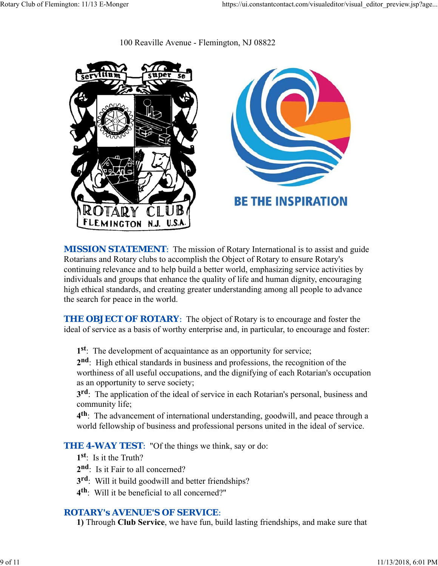100 Reaville Avenue - Flemington, NJ 08822



**MISSION STATEMENT:** The mission of Rotary International is to assist and guide Rotarians and Rotary clubs to accomplish the Object of Rotary to ensure Rotary's continuing relevance and to help build a better world, emphasizing service activities by individuals and groups that enhance the quality of life and human dignity, encouraging high ethical standards, and creating greater understanding among all people to advance the search for peace in the world.

**THE OBJECT OF ROTARY:** The object of Rotary is to encourage and foster the ideal of service as a basis of worthy enterprise and, in particular, to encourage and foster:

**1st**: The development of acquaintance as an opportunity for service;

**2nd**: High ethical standards in business and professions, the recognition of the worthiness of all useful occupations, and the dignifying of each Rotarian's occupation as an opportunity to serve society;

**3rd**: The application of the ideal of service in each Rotarian's personal, business and community life;

**4th**: The advancement of international understanding, goodwill, and peace through a world fellowship of business and professional persons united in the ideal of service.

**THE 4-WAY TEST:** "Of the things we think, say or do:

- **1st**: Is it the Truth?
- 2<sup>nd</sup>: Is it Fair to all concerned?
- **3rd**: Will it build goodwill and better friendships?
- **4th**: Will it be beneficial to all concerned?"

## *ROTARY's AVENUE'S OF SERVICE*:

**1)** Through **Club Service**, we have fun, build lasting friendships, and make sure that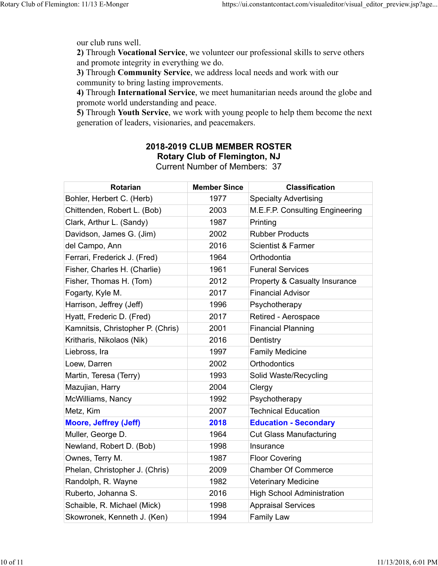our club runs well.

**2)** Through **Vocational Service**, we volunteer our professional skills to serve others and promote integrity in everything we do.

**3)** Through **Community Service**, we address local needs and work with our community to bring lasting improvements.

**4)** Through **International Service**, we meet humanitarian needs around the globe and promote world understanding and peace.

**5)** Through **Youth Service**, we work with young people to help them become the next generation of leaders, visionaries, and peacemakers.

# **2018-2019 CLUB MEMBER ROSTER Rotary Club of Flemington, NJ**

| <b>Rotarian</b>                   | <b>Member Since</b> | <b>Classification</b>                    |
|-----------------------------------|---------------------|------------------------------------------|
| Bohler, Herbert C. (Herb)         | 1977                | <b>Specialty Advertising</b>             |
| Chittenden, Robert L. (Bob)       | 2003                | M.E.F.P. Consulting Engineering          |
| Clark, Arthur L. (Sandy)          | 1987                | Printing                                 |
| Davidson, James G. (Jim)          | 2002                | <b>Rubber Products</b>                   |
| del Campo, Ann                    | 2016                | <b>Scientist &amp; Farmer</b>            |
| Ferrari, Frederick J. (Fred)      | 1964                | Orthodontia                              |
| Fisher, Charles H. (Charlie)      | 1961                | <b>Funeral Services</b>                  |
| Fisher, Thomas H. (Tom)           | 2012                | <b>Property &amp; Casualty Insurance</b> |
| Fogarty, Kyle M.                  | 2017                | <b>Financial Advisor</b>                 |
| Harrison, Jeffrey (Jeff)          | 1996                | Psychotherapy                            |
| Hyatt, Frederic D. (Fred)         | 2017                | Retired - Aerospace                      |
| Kamnitsis, Christopher P. (Chris) | 2001                | <b>Financial Planning</b>                |
| Kritharis, Nikolaos (Nik)         | 2016                | Dentistry                                |
| Liebross, Ira                     | 1997                | <b>Family Medicine</b>                   |
| Loew, Darren                      | 2002                | Orthodontics                             |
| Martin, Teresa (Terry)            | 1993                | Solid Waste/Recycling                    |
| Mazujian, Harry                   | 2004                | Clergy                                   |
| McWilliams, Nancy                 | 1992                | Psychotherapy                            |
| Metz, Kim                         | 2007                | <b>Technical Education</b>               |
| <b>Moore, Jeffrey (Jeff)</b>      | 2018                | <b>Education - Secondary</b>             |
| Muller, George D.                 | 1964                | <b>Cut Glass Manufacturing</b>           |
| Newland, Robert D. (Bob)          | 1998                | Insurance                                |
| Ownes, Terry M.                   | 1987                | <b>Floor Covering</b>                    |
| Phelan, Christopher J. (Chris)    | 2009                | <b>Chamber Of Commerce</b>               |
| Randolph, R. Wayne                | 1982                | <b>Veterinary Medicine</b>               |
| Ruberto, Johanna S.               | 2016                | <b>High School Administration</b>        |
| Schaible, R. Michael (Mick)       | 1998                | <b>Appraisal Services</b>                |
| Skowronek, Kenneth J. (Ken)       | 1994                | <b>Family Law</b>                        |

Current Number of Members: 37